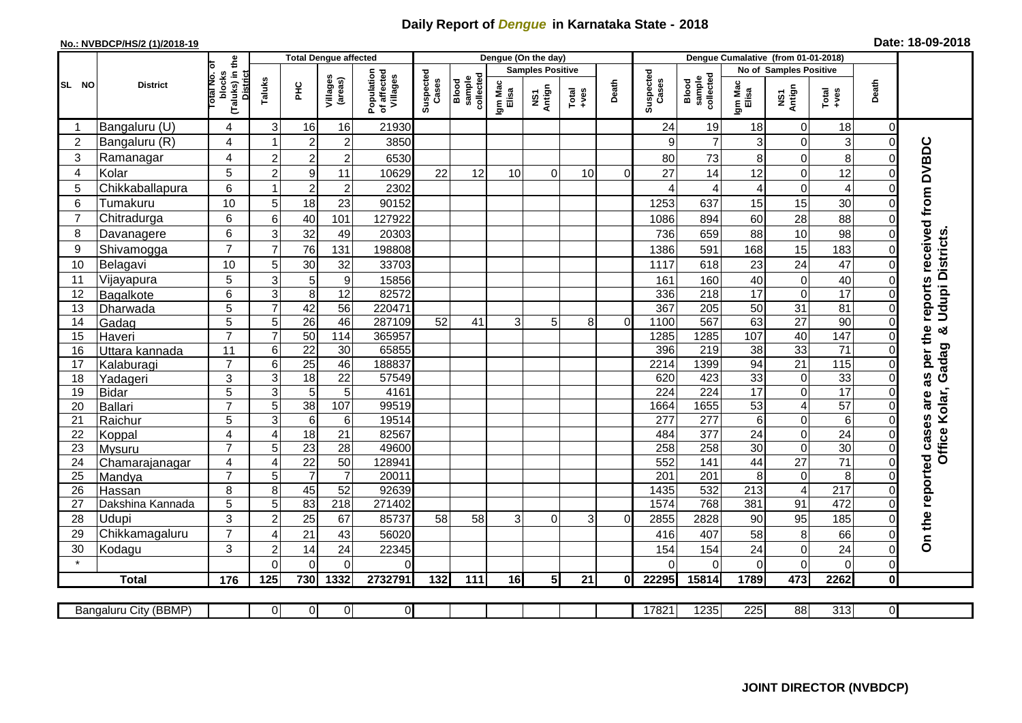## **Daily Report of** *Dengue* **in Karnataka State - 2018**

## **No.: NVBDCP/HS/2 (1)/2018-19 Date: 18-09-2018**

|                                                                                                                                                | <b>District</b>          |                                                      | <b>Total Dengue affected</b> |                       |                       |                                       |                    |                              |                         | Dengue (On the day) |                  |                |                    |                                     |                        |                         |                                    |                            |                                      |
|------------------------------------------------------------------------------------------------------------------------------------------------|--------------------------|------------------------------------------------------|------------------------------|-----------------------|-----------------------|---------------------------------------|--------------------|------------------------------|-------------------------|---------------------|------------------|----------------|--------------------|-------------------------------------|------------------------|-------------------------|------------------------------------|----------------------------|--------------------------------------|
|                                                                                                                                                |                          |                                                      |                              |                       |                       |                                       |                    |                              | <b>Samples Positive</b> |                     |                  |                |                    |                                     | No of Samples Positive |                         |                                    |                            |                                      |
| SL NO                                                                                                                                          |                          | (Taluks) in the<br>District<br>otal No. of<br>blocks | Taluks                       | <b>PHC</b>            | Villages<br>(areas)   | Population<br>of affected<br>Villages | Suspected<br>Cases | Blood<br>sample<br>collected | Igm Mac<br>Elisa        | NS1<br>Antign       | $Tota$<br>$+ves$ | Death          | Suspected<br>Cases | collected<br><b>Blood</b><br>sample | Igm Mac<br>Elisa       | NS1<br>Antign           | $Tota$<br>$+ves$                   | Death                      |                                      |
|                                                                                                                                                | Bangaluru (U)            | $\overline{4}$                                       | 3                            | 16                    | 16                    | 21930                                 |                    |                              |                         |                     |                  |                | 24                 | 19                                  | 18                     | 0                       | 18                                 | $\mathbf 0$                |                                      |
| $\overline{2}$                                                                                                                                 | Bangaluru (R)            | 4                                                    |                              | $\overline{2}$        | $\overline{c}$        | 3850                                  |                    |                              |                         |                     |                  |                | 9                  | $\overline{7}$                      | 3                      | 0                       | 3                                  | $\mathbf 0$                |                                      |
| 3                                                                                                                                              | Ramanagar                | 4                                                    | $\overline{2}$               | $\overline{2}$        | $\overline{c}$        | 6530                                  |                    |                              |                         |                     |                  |                | 80                 | 73                                  | 8                      | $\mathbf 0$             | 8                                  | $\Omega$                   | reports received from DVBDC          |
| 4                                                                                                                                              | Kolar                    | 5                                                    | $\overline{2}$               | $\boldsymbol{9}$      | 11                    | 10629                                 | 22                 | 12                           | 10                      | 0                   | 10 <sup>1</sup>  | 0              | 27                 | 14                                  | 12                     | 0                       | 12                                 | $\mathbf 0$                |                                      |
| 5                                                                                                                                              | Chikkaballapura          | 6                                                    |                              | $\overline{c}$        | $\mathbf 2$           | 2302                                  |                    |                              |                         |                     |                  |                | 4                  | 4                                   | 4                      | 0                       | $\overline{4}$                     | $\mathbf 0$                |                                      |
| 6                                                                                                                                              | Tumakuru                 | 10                                                   | 5                            | 18                    | 23                    | 90152                                 |                    |                              |                         |                     |                  |                | 1253               | 637                                 | 15                     | 15                      | 30                                 | $\Omega$                   |                                      |
| $\overline{7}$                                                                                                                                 | Chitradurga              | 6                                                    | 6                            | 40                    | 101                   | 127922                                |                    |                              |                         |                     |                  |                | 1086               | 894                                 | 60                     | 28                      | 88                                 | 0                          |                                      |
| 8                                                                                                                                              | Davanagere               | 6                                                    | 3                            | 32                    | 49                    | 20303                                 |                    |                              |                         |                     |                  |                | 736                | 659                                 | 88                     | 10                      | 98                                 | $\mathbf 0$                |                                      |
| 9                                                                                                                                              | Shivamogga               | $\overline{7}$                                       | $\overline{7}$               | 76                    | 131                   | 198808                                |                    |                              |                         |                     |                  |                | 1386               | 591                                 | 168                    | 15                      | 183                                | $\Omega$                   | <b>Udupi Districts</b>               |
| 10                                                                                                                                             | Belagavi                 | 10                                                   | 5                            | 30                    | 32                    | 33703                                 |                    |                              |                         |                     |                  |                | 1117               | 618                                 | 23                     | 24                      | 47                                 | $\mathbf 0$                |                                      |
| 11                                                                                                                                             | Vijayapura               | 5                                                    | 3                            | 5                     | $\boldsymbol{9}$      | 15856                                 |                    |                              |                         |                     |                  |                | 161                | 160                                 | 40                     | 0                       | 40                                 | $\Omega$                   |                                      |
| 12                                                                                                                                             | Bagalkote                | 6                                                    | 3                            | 8                     | 12                    | 82572                                 |                    |                              |                         |                     |                  |                | 336                | 218                                 | 17                     | 0                       | 17                                 | $\Omega$                   |                                      |
| 13                                                                                                                                             | Dharwada                 | 5                                                    | $\overline{7}$               | 42                    | $\overline{56}$       | 220471                                |                    |                              |                         |                     |                  |                | 367                | 205                                 | 50                     | $\overline{31}$         | $\overline{81}$                    | $\mathbf 0$                |                                      |
| 14                                                                                                                                             | Gadag                    | $\overline{5}$                                       | 5                            | $\overline{26}$       | 46                    | 287109                                | 52                 | 41                           | 3                       | 5                   | 8                | $\overline{0}$ | 1100               | 567                                 | 63                     | $\overline{27}$         | 90                                 | $\mathbf 0$                | න්                                   |
| 15                                                                                                                                             | Haveri                   | $\overline{7}$                                       | $\overline{7}$               | 50                    | 114                   | 365957                                |                    |                              |                         |                     |                  |                | 1285               | 1285                                | 107                    | 40                      | 147                                | $\mathbf 0$                |                                      |
| 16                                                                                                                                             | Uttara kannada           | 11                                                   | 6                            | $\overline{22}$       | 30                    | 65855                                 |                    |                              |                         |                     |                  |                | 396                | 219                                 | 38                     | 33                      | $\overline{71}$                    | $\Omega$                   |                                      |
| 17                                                                                                                                             | Kalaburagi               | $\overline{7}$                                       | 6                            | 25                    | 46                    | 188837                                |                    |                              |                         |                     |                  |                | 2214               | 1399                                | 94                     | 21                      | 115                                | $\mathbf 0$                | Gadag                                |
| 18                                                                                                                                             | Yadageri                 | 3                                                    | 3                            | $\overline{18}$       | 22                    | 57549                                 |                    |                              |                         |                     |                  |                | 620                | 423                                 | 33                     | $\boldsymbol{0}$        | 33                                 | $\Omega$                   |                                      |
| 19                                                                                                                                             | Bidar                    | $\overline{5}$                                       | 3                            | $\overline{5}$        | 5                     | 4161                                  |                    |                              |                         |                     |                  |                | 224                | 224                                 | $\overline{17}$        | $\overline{0}$          | 17                                 | $\Omega$                   |                                      |
| 20                                                                                                                                             | Ballari                  | $\overline{7}$                                       | 5                            | 38                    | 107                   | 99519                                 |                    |                              |                         |                     |                  |                | 1664               | 1655                                | 53                     | $\overline{\mathbf{4}}$ | 57                                 | $\mathbf 0$                | Office Kolar,                        |
| 21                                                                                                                                             | Raichur                  | $\overline{5}$                                       | 3                            | $6\phantom{1}6$       | 6                     | 19514                                 |                    |                              |                         |                     |                  |                | $\overline{277}$   | $\overline{277}$                    | 6                      | 0                       | $\overline{6}$                     | $\mathbf 0$                |                                      |
| 22                                                                                                                                             | Koppal                   | $\overline{4}$<br>$\overline{7}$                     | $\overline{4}$<br>5          | $\overline{18}$<br>23 | 21<br>$\overline{28}$ | 82567<br>49600                        |                    |                              |                         |                     |                  |                | 484<br>258         | 377<br>258                          | 24<br>30               | 0<br>$\overline{0}$     | $\overline{24}$<br>$\overline{30}$ | $\mathbf 0$<br>$\mathbf 0$ |                                      |
| 23<br>24                                                                                                                                       | Mysuru                   | $\overline{4}$                                       | $\overline{4}$               | $\overline{22}$       | 50                    | 128941                                |                    |                              |                         |                     |                  |                | 552                | 141                                 | 44                     | $\overline{27}$         | $\overline{71}$                    | $\mathbf 0$                |                                      |
| 25                                                                                                                                             | Chamarajanagar<br>Mandya | $\overline{7}$                                       | 5                            | $\overline{7}$        | $\overline{7}$        | 20011                                 |                    |                              |                         |                     |                  |                | 201                | 201                                 | 8                      | $\pmb{0}$               | 8                                  | $\Omega$                   |                                      |
| 26                                                                                                                                             | Hassan                   | 8                                                    | 8                            | 45                    | 52                    | 92639                                 |                    |                              |                         |                     |                  |                | 1435               | 532                                 | 213                    | $\overline{4}$          | $\overline{217}$                   | $\overline{0}$             |                                      |
| 27                                                                                                                                             | Dakshina Kannada         | 5                                                    | 5                            | 83                    | $\overline{218}$      | 271402                                |                    |                              |                         |                     |                  |                | 1574               | 768                                 | 381                    | 91                      | 472                                | $\mathbf 0$                |                                      |
| 28                                                                                                                                             | Udupi                    | 3                                                    | $\overline{2}$               | 25                    | 67                    | 85737                                 | 58                 | 58                           | 3                       | $\Omega$            | 3                | $\Omega$       | 2855               | 2828                                | 90                     | 95                      | 185                                | $\Omega$                   |                                      |
| 29                                                                                                                                             | Chikkamagaluru           | $\overline{7}$                                       | 4                            | 21                    | 43                    | 56020                                 |                    |                              |                         |                     |                  |                | 416                | 407                                 | 58                     | 8                       | 66                                 | 0                          | On the reported cases are as per the |
| 30                                                                                                                                             | Kodagu                   | 3                                                    | $\overline{2}$               | 14                    | 24                    | 22345                                 |                    |                              |                         |                     |                  |                | 154                | 154                                 | 24                     | 0                       | 24                                 | $\mathbf 0$                |                                      |
|                                                                                                                                                |                          |                                                      | $\Omega$                     | $\Omega$              | $\Omega$              | $\Omega$                              |                    |                              |                         |                     |                  |                | ∩                  | $\Omega$                            | 0                      | $\overline{0}$          | $\overline{O}$                     | $\mathbf 0$                |                                      |
|                                                                                                                                                | <b>Total</b>             | 176                                                  | 125                          | 730                   | 1332                  | 2732791                               | 132                | 111                          | 16                      | 5 <sub>l</sub>      | 21               | Οl             | 22295              | 15814                               | 1789                   | 473                     | 2262                               | $\mathbf 0$                |                                      |
|                                                                                                                                                |                          |                                                      |                              |                       |                       |                                       |                    |                              |                         |                     |                  |                |                    |                                     |                        |                         |                                    |                            |                                      |
| $\overline{0}$<br>17821<br>1235<br>225<br>88<br>313<br>$\overline{0}$<br><b>Bangaluru City (BBMP)</b><br>$\overline{0}$<br>$\overline{0}$<br>0 |                          |                                                      |                              |                       |                       |                                       |                    |                              |                         |                     |                  |                |                    |                                     |                        |                         |                                    |                            |                                      |